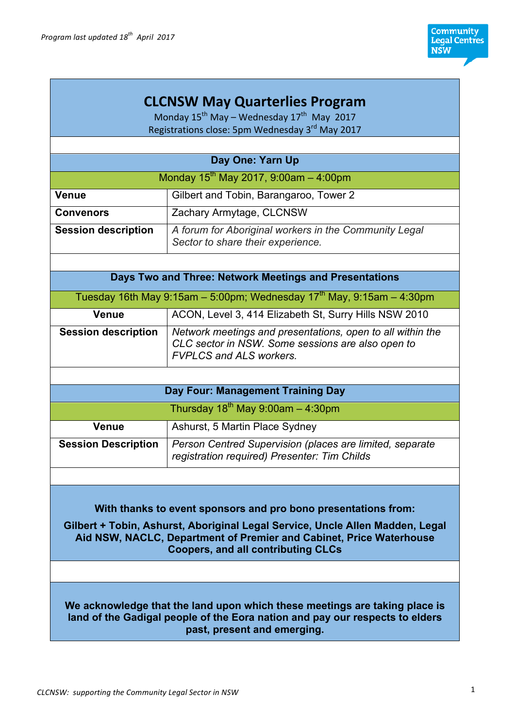# **CLCNSW May Quarterlies Program**

Monday  $15^{th}$  May – Wednesday  $17^{th}$  May 2017 Registrations close: 5pm Wednesday 3<sup>rd</sup> May 2017

| Day One: Yarn Up                           |                                                                                            |  |
|--------------------------------------------|--------------------------------------------------------------------------------------------|--|
| Monday $15^{th}$ May 2017, 9:00am - 4:00pm |                                                                                            |  |
| <b>Venue</b>                               | Gilbert and Tobin, Barangaroo, Tower 2                                                     |  |
| <b>Convenors</b>                           | Zachary Armytage, CLCNSW                                                                   |  |
| <b>Session description</b>                 | A forum for Aboriginal workers in the Community Legal<br>Sector to share their experience. |  |

## **Days Two and Three: Network Meetings and Presentations**

| Tuesday 16th May 9:15am – 5:00pm; Wednesday 17 <sup>th</sup> May, 9:15am – 4:30pm |                                                                                                                                                   |  |
|-----------------------------------------------------------------------------------|---------------------------------------------------------------------------------------------------------------------------------------------------|--|
| <b>Venue</b>                                                                      | ACON, Level 3, 414 Elizabeth St, Surry Hills NSW 2010                                                                                             |  |
| <b>Session description</b>                                                        | Network meetings and presentations, open to all within the<br>CLC sector in NSW. Some sessions are also open to<br><b>FVPLCS and ALS workers.</b> |  |

| Day Four: Management Training Day      |                                                                                                          |  |
|----------------------------------------|----------------------------------------------------------------------------------------------------------|--|
| Thursday $18^{th}$ May 9:00am - 4:30pm |                                                                                                          |  |
| Venue                                  | Ashurst, 5 Martin Place Sydney                                                                           |  |
| <b>Session Description</b>             | Person Centred Supervision (places are limited, separate<br>registration required) Presenter: Tim Childs |  |

### **With thanks to event sponsors and pro bono presentations from:**

**Gilbert + Tobin, Ashurst, Aboriginal Legal Service, Uncle Allen Madden, Legal Aid NSW, NACLC, Department of Premier and Cabinet, Price Waterhouse Coopers, and all contributing CLCs**

**We acknowledge that the land upon which these meetings are taking place is land of the Gadigal people of the Eora nation and pay our respects to elders past, present and emerging.**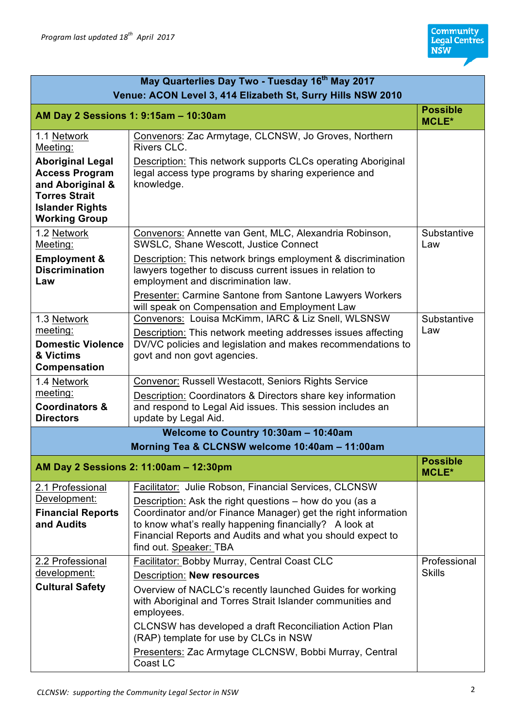| May Quarterlies Day Two - Tuesday 16 <sup>th</sup> May 2017                                                                                                               |                                                                                                                                                                                                                                                                                                                                                                                                     |                                 |
|---------------------------------------------------------------------------------------------------------------------------------------------------------------------------|-----------------------------------------------------------------------------------------------------------------------------------------------------------------------------------------------------------------------------------------------------------------------------------------------------------------------------------------------------------------------------------------------------|---------------------------------|
| Venue: ACON Level 3, 414 Elizabeth St, Surry Hills NSW 2010<br>AM Day 2 Sessions 1: 9:15am - 10:30am                                                                      |                                                                                                                                                                                                                                                                                                                                                                                                     |                                 |
| 1.1 Network<br>Meeting:<br><b>Aboriginal Legal</b><br><b>Access Program</b><br>and Aboriginal &<br><b>Torres Strait</b><br><b>Islander Rights</b><br><b>Working Group</b> | Convenors: Zac Armytage, CLCNSW, Jo Groves, Northern<br>Rivers CLC.<br>Description: This network supports CLCs operating Aboriginal<br>legal access type programs by sharing experience and<br>knowledge.                                                                                                                                                                                           |                                 |
| 1.2 Network<br>Meeting:<br><b>Employment &amp;</b><br><b>Discrimination</b><br>Law                                                                                        | Convenors: Annette van Gent, MLC, Alexandria Robinson,<br>SWSLC, Shane Wescott, Justice Connect<br>Description: This network brings employment & discrimination<br>lawyers together to discuss current issues in relation to<br>employment and discrimination law.<br>Presenter: Carmine Santone from Santone Lawyers Workers<br>will speak on Compensation and Employment Law                      | Substantive<br>Law              |
| 1.3 Network<br>meeting:<br><b>Domestic Violence</b><br>& Victims<br>Compensation                                                                                          | Convenors: Louisa McKimm, IARC & Liz Snell, WLSNSW<br>Description: This network meeting addresses issues affecting<br>DV/VC policies and legislation and makes recommendations to<br>govt and non govt agencies.                                                                                                                                                                                    | Substantive<br>Law              |
| 1.4 Network<br>meeting:<br><b>Coordinators &amp;</b><br><b>Directors</b>                                                                                                  | Convenor: Russell Westacott, Seniors Rights Service<br>Description: Coordinators & Directors share key information<br>and respond to Legal Aid issues. This session includes an<br>update by Legal Aid.                                                                                                                                                                                             |                                 |
|                                                                                                                                                                           | Welcome to Country 10:30am - 10:40am<br>Morning Tea & CLCNSW welcome 10:40am - 11:00am                                                                                                                                                                                                                                                                                                              |                                 |
|                                                                                                                                                                           | AM Day 2 Sessions 2: 11:00am - 12:30pm                                                                                                                                                                                                                                                                                                                                                              | <b>Possible</b><br><b>MCLE*</b> |
| 2.1 Professional<br>Development:<br><b>Financial Reports</b><br>and Audits                                                                                                | Facilitator: Julie Robson, Financial Services, CLCNSW<br>Description: Ask the right questions – how do you (as a<br>Coordinator and/or Finance Manager) get the right information<br>to know what's really happening financially? A look at<br>Financial Reports and Audits and what you should expect to<br>find out. Speaker: TBA                                                                 |                                 |
| 2.2 Professional<br>development:<br><b>Cultural Safety</b>                                                                                                                | Facilitator: Bobby Murray, Central Coast CLC<br><b>Description: New resources</b><br>Overview of NACLC's recently launched Guides for working<br>with Aboriginal and Torres Strait Islander communities and<br>employees.<br>CLCNSW has developed a draft Reconciliation Action Plan<br>(RAP) template for use by CLCs in NSW<br>Presenters: Zac Armytage CLCNSW, Bobbi Murray, Central<br>Coast LC | Professional<br><b>Skills</b>   |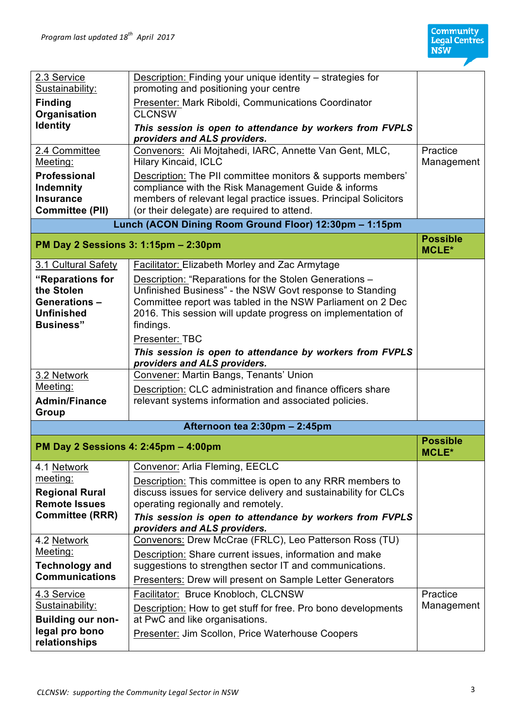7

| 2.3 Service<br>Sustainability:                                                 | Description: Finding your unique identity - strategies for<br>promoting and positioning your centre                                                                                                                                  |                                 |
|--------------------------------------------------------------------------------|--------------------------------------------------------------------------------------------------------------------------------------------------------------------------------------------------------------------------------------|---------------------------------|
| <b>Finding</b><br>Organisation                                                 | Presenter: Mark Riboldi, Communications Coordinator<br><b>CLCNSW</b>                                                                                                                                                                 |                                 |
| <b>Identity</b>                                                                | This session is open to attendance by workers from FVPLS<br>providers and ALS providers.                                                                                                                                             |                                 |
| 2.4 Committee<br>Meeting:                                                      | Convenors: Ali Mojtahedi, IARC, Annette Van Gent, MLC,<br><b>Hilary Kincaid, ICLC</b>                                                                                                                                                | Practice<br>Management          |
| <b>Professional</b><br>Indemnity<br><b>Insurance</b><br><b>Committee (PII)</b> | Description: The PII committee monitors & supports members'<br>compliance with the Risk Management Guide & informs<br>members of relevant legal practice issues. Principal Solicitors<br>(or their delegate) are required to attend. |                                 |
|                                                                                | Lunch (ACON Dining Room Ground Floor) 12:30pm - 1:15pm                                                                                                                                                                               |                                 |
| PM Day 2 Sessions 3: 1:15pm - 2:30pm                                           |                                                                                                                                                                                                                                      | <b>Possible</b><br><b>MCLE*</b> |
| 3.1 Cultural Safety                                                            | Facilitator: Elizabeth Morley and Zac Armytage                                                                                                                                                                                       |                                 |
| "Reparations for                                                               | Description: "Reparations for the Stolen Generations -                                                                                                                                                                               |                                 |
| the Stolen                                                                     | Unfinished Business" - the NSW Govt response to Standing                                                                                                                                                                             |                                 |
| <b>Generations -</b><br><b>Unfinished</b>                                      | Committee report was tabled in the NSW Parliament on 2 Dec<br>2016. This session will update progress on implementation of                                                                                                           |                                 |
| <b>Business</b> "                                                              | findings.                                                                                                                                                                                                                            |                                 |
|                                                                                | Presenter: TBC                                                                                                                                                                                                                       |                                 |
|                                                                                | This session is open to attendance by workers from FVPLS<br>providers and ALS providers.                                                                                                                                             |                                 |
| 3.2 Network                                                                    | Convener: Martin Bangs, Tenants' Union                                                                                                                                                                                               |                                 |
| Meeting:                                                                       | Description: CLC administration and finance officers share                                                                                                                                                                           |                                 |
| <b>Admin/Finance</b><br>Group                                                  | relevant systems information and associated policies.                                                                                                                                                                                |                                 |
|                                                                                | Afternoon tea 2:30pm - 2:45pm                                                                                                                                                                                                        |                                 |
| PM Day 2 Sessions 4: 2:45pm - 4:00pm                                           |                                                                                                                                                                                                                                      | <b>Possible</b><br><b>MCLE*</b> |
| 4.1 Network                                                                    | Convenor: Arlia Fleming, EECLC                                                                                                                                                                                                       |                                 |
| meeting:                                                                       | Description: This committee is open to any RRR members to                                                                                                                                                                            |                                 |
| <b>Regional Rural</b><br><b>Remote Issues</b>                                  | discuss issues for service delivery and sustainability for CLCs<br>operating regionally and remotely.                                                                                                                                |                                 |
| <b>Committee (RRR)</b>                                                         | This session is open to attendance by workers from FVPLS<br>providers and ALS providers.                                                                                                                                             |                                 |
| 4.2 Network                                                                    | Convenors: Drew McCrae (FRLC), Leo Patterson Ross (TU)                                                                                                                                                                               |                                 |
| Meeting:                                                                       | Description: Share current issues, information and make                                                                                                                                                                              |                                 |
| <b>Technology and</b><br><b>Communications</b>                                 | suggestions to strengthen sector IT and communications.                                                                                                                                                                              |                                 |
|                                                                                | <b>Presenters: Drew will present on Sample Letter Generators</b>                                                                                                                                                                     |                                 |
| 4.3 Service                                                                    | Facilitator: Bruce Knobloch, CLCNSW                                                                                                                                                                                                  | Practice                        |
| Sustainability:                                                                | Description: How to get stuff for free. Pro bono developments                                                                                                                                                                        | Management                      |
| <b>Building our non-</b><br>legal pro bono                                     | at PwC and like organisations.                                                                                                                                                                                                       |                                 |
| relationships                                                                  | Presenter: Jim Scollon, Price Waterhouse Coopers                                                                                                                                                                                     |                                 |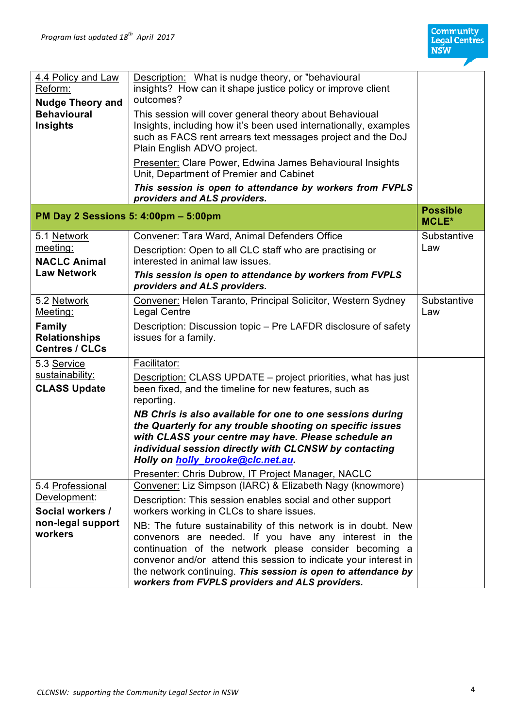| 4.4 Policy and Law<br>Reform:<br><b>Nudge Theory and</b><br><b>Behavioural</b><br>Insights | Description: What is nudge theory, or "behavioural<br>insights? How can it shape justice policy or improve client<br>outcomes?<br>This session will cover general theory about Behavioual<br>Insights, including how it's been used internationally, examples<br>such as FACS rent arrears text messages project and the DoJ<br>Plain English ADVO project.<br>Presenter: Clare Power, Edwina James Behavioural Insights<br>Unit, Department of Premier and Cabinet<br>This session is open to attendance by workers from FVPLS<br>providers and ALS providers. |                                 |
|--------------------------------------------------------------------------------------------|-----------------------------------------------------------------------------------------------------------------------------------------------------------------------------------------------------------------------------------------------------------------------------------------------------------------------------------------------------------------------------------------------------------------------------------------------------------------------------------------------------------------------------------------------------------------|---------------------------------|
| PM Day 2 Sessions 5: 4:00pm - 5:00pm                                                       |                                                                                                                                                                                                                                                                                                                                                                                                                                                                                                                                                                 | <b>Possible</b><br><b>MCLE*</b> |
| 5.1 Network<br>meeting:<br><b>NACLC Animal</b><br><b>Law Network</b>                       | Convener: Tara Ward, Animal Defenders Office<br>Description: Open to all CLC staff who are practising or<br>interested in animal law issues.<br>This session is open to attendance by workers from FVPLS<br>providers and ALS providers.                                                                                                                                                                                                                                                                                                                        | Substantive<br>Law              |
| 5.2 Network<br>Meeting:<br><b>Family</b><br><b>Relationships</b><br><b>Centres / CLCs</b>  | Convener: Helen Taranto, Principal Solicitor, Western Sydney<br><b>Legal Centre</b><br>Description: Discussion topic – Pre LAFDR disclosure of safety<br>issues for a family.                                                                                                                                                                                                                                                                                                                                                                                   | Substantive<br>Law              |
| 5.3 Service<br>sustainability:<br><b>CLASS Update</b>                                      | Facilitator:<br>Description: CLASS UPDATE – project priorities, what has just<br>been fixed, and the timeline for new features, such as<br>reporting.<br>NB Chris is also available for one to one sessions during<br>the Quarterly for any trouble shooting on specific issues<br>with CLASS your centre may have. Please schedule an<br>individual session directly with CLCNSW by contacting<br>Holly on holly_brooke@clc.net.au.<br>Presenter: Chris Dubrow, IT Project Manager, NACLC                                                                      |                                 |
| 5.4 Professional<br>Development:<br>Social workers /<br>non-legal support<br>workers       | Convener: Liz Simpson (IARC) & Elizabeth Nagy (knowmore)<br>Description: This session enables social and other support<br>workers working in CLCs to share issues.<br>NB: The future sustainability of this network is in doubt. New<br>convenors are needed. If you have any interest in the<br>continuation of the network please consider becoming a<br>convenor and/or attend this session to indicate your interest in<br>the network continuing. This session is open to attendance by<br>workers from FVPLS providers and ALS providers.                 |                                 |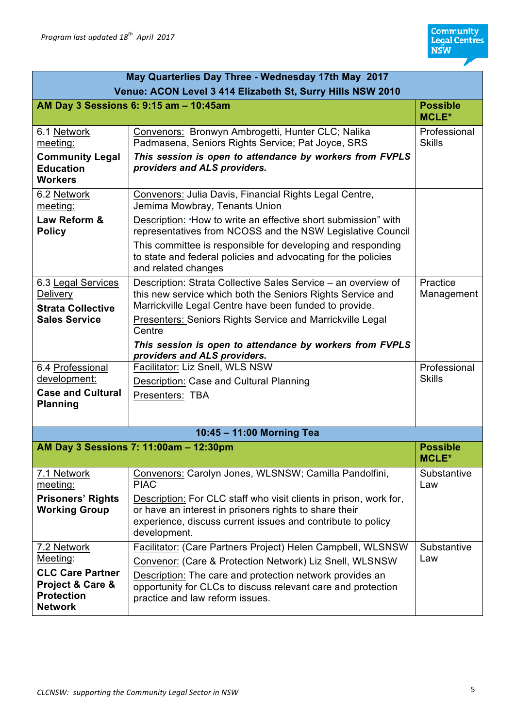| May Quarterlies Day Three - Wednesday 17th May 2017                                |                                                                                                                                                                                                            |                                 |
|------------------------------------------------------------------------------------|------------------------------------------------------------------------------------------------------------------------------------------------------------------------------------------------------------|---------------------------------|
| Venue: ACON Level 3 414 Elizabeth St, Surry Hills NSW 2010                         |                                                                                                                                                                                                            |                                 |
|                                                                                    | AM Day 3 Sessions 6: 9:15 am - 10:45am                                                                                                                                                                     | <b>Possible</b><br><b>MCLE*</b> |
| 6.1 Network<br>meeting:                                                            | Convenors: Bronwyn Ambrogetti, Hunter CLC; Nalika<br>Padmasena, Seniors Rights Service; Pat Joyce, SRS                                                                                                     | Professional<br><b>Skills</b>   |
| <b>Community Legal</b><br><b>Education</b><br><b>Workers</b>                       | This session is open to attendance by workers from FVPLS<br>providers and ALS providers.                                                                                                                   |                                 |
| 6.2 Network<br>meeting:                                                            | Convenors: Julia Davis, Financial Rights Legal Centre,<br>Jemima Mowbray, Tenants Union                                                                                                                    |                                 |
| Law Reform &<br><b>Policy</b>                                                      | Description: "How to write an effective short submission" with<br>representatives from NCOSS and the NSW Legislative Council                                                                               |                                 |
|                                                                                    | This committee is responsible for developing and responding<br>to state and federal policies and advocating for the policies<br>and related changes                                                        |                                 |
| 6.3 Legal Services<br><b>Delivery</b>                                              | Description: Strata Collective Sales Service - an overview of<br>this new service which both the Seniors Rights Service and<br>Marrickville Legal Centre have been funded to provide.                      | Practice<br>Management          |
| <b>Strata Collective</b><br><b>Sales Service</b>                                   | Presenters: Seniors Rights Service and Marrickville Legal<br>Centre                                                                                                                                        |                                 |
|                                                                                    | This session is open to attendance by workers from FVPLS<br>providers and ALS providers.                                                                                                                   |                                 |
| 6.4 Professional                                                                   | Facilitator: Liz Snell, WLS NSW                                                                                                                                                                            | Professional                    |
| development:<br><b>Case and Cultural</b>                                           | Description: Case and Cultural Planning                                                                                                                                                                    | <b>Skills</b>                   |
| <b>Planning</b>                                                                    | Presenters: TBA                                                                                                                                                                                            |                                 |
|                                                                                    | 10:45 - 11:00 Morning Tea                                                                                                                                                                                  |                                 |
|                                                                                    | AM Day 3 Sessions 7: 11:00am - 12:30pm                                                                                                                                                                     | <b>Possible</b><br><b>MCLE*</b> |
| 7.1 Network<br>meeting:                                                            | Convenors: Carolyn Jones, WLSNSW; Camilla Pandolfini,<br><b>PIAC</b>                                                                                                                                       | Substantive<br>Law              |
| <b>Prisoners' Rights</b><br><b>Working Group</b>                                   | Description: For CLC staff who visit clients in prison, work for,<br>or have an interest in prisoners rights to share their<br>experience, discuss current issues and contribute to policy<br>development. |                                 |
| 7.2 Network                                                                        | Facilitator: (Care Partners Project) Helen Campbell, WLSNSW                                                                                                                                                | Substantive<br>Law              |
| Meeting:                                                                           | Convenor: (Care & Protection Network) Liz Snell, WLSNSW                                                                                                                                                    |                                 |
| <b>CLC Care Partner</b><br>Project & Care &<br><b>Protection</b><br><b>Network</b> | Description: The care and protection network provides an<br>opportunity for CLCs to discuss relevant care and protection<br>practice and law reform issues.                                                |                                 |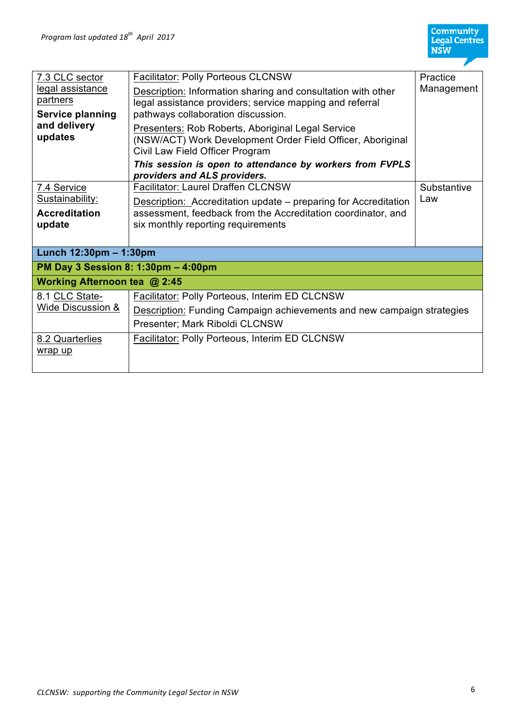| 7.3 CLC sector<br>legal assistance<br>partners<br><b>Service planning</b><br>and delivery<br>updates | <b>Facilitator: Polly Porteous CLCNSW</b><br><b>Description:</b> Information sharing and consultation with other<br>legal assistance providers; service mapping and referral<br>pathways collaboration discussion.<br><b>Presenters: Rob Roberts, Aboriginal Legal Service</b><br>(NSW/ACT) Work Development Order Field Officer, Aboriginal<br>Civil Law Field Officer Program<br>This session is open to attendance by workers from FVPLS<br>providers and ALS providers. | Practice<br>Management |
|------------------------------------------------------------------------------------------------------|-----------------------------------------------------------------------------------------------------------------------------------------------------------------------------------------------------------------------------------------------------------------------------------------------------------------------------------------------------------------------------------------------------------------------------------------------------------------------------|------------------------|
| 7.4 Service<br>Sustainability:<br><b>Accreditation</b><br>update                                     | <b>Facilitator: Laurel Draffen CLCNSW</b><br>Description: Accreditation update – preparing for Accreditation<br>assessment, feedback from the Accreditation coordinator, and<br>six monthly reporting requirements                                                                                                                                                                                                                                                          | Substantive<br>Law     |
| Lunch 12:30pm - 1:30pm                                                                               |                                                                                                                                                                                                                                                                                                                                                                                                                                                                             |                        |
| PM Day 3 Session 8: 1:30pm - 4:00pm                                                                  |                                                                                                                                                                                                                                                                                                                                                                                                                                                                             |                        |
| Working Afternoon tea @ 2:45                                                                         |                                                                                                                                                                                                                                                                                                                                                                                                                                                                             |                        |
| 8.1 CLC State-<br>Wide Discussion &                                                                  | Facilitator: Polly Porteous, Interim ED CLCNSW<br>Description: Funding Campaign achievements and new campaign strategies<br>Presenter; Mark Riboldi CLCNSW                                                                                                                                                                                                                                                                                                                  |                        |
| 8.2 Quarterlies<br>wrap up                                                                           | <b>Facilitator: Polly Porteous, Interim ED CLCNSW</b>                                                                                                                                                                                                                                                                                                                                                                                                                       |                        |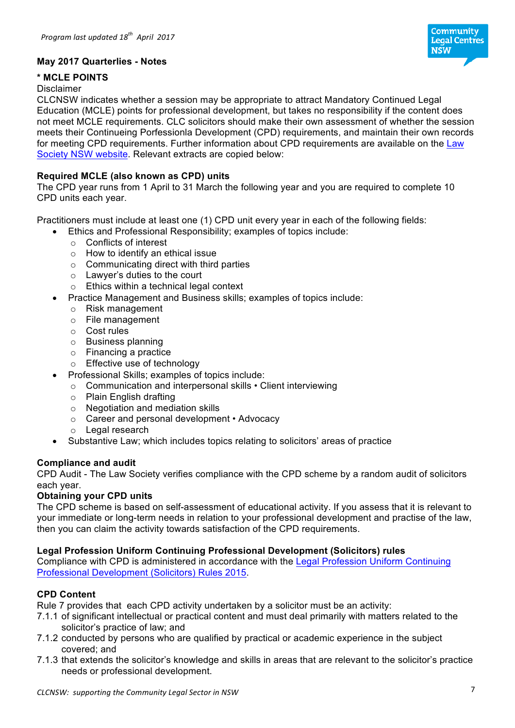

## **May 2017 Quarterlies - Notes**

## **\* MCLE POINTS**

### Disclaimer

CLCNSW indicates whether a session may be appropriate to attract Mandatory Continued Legal Education (MCLE) points for professional development, but takes no responsibility if the content does not meet MCLE requirements. CLC solicitors should make their own assessment of whether the session meets their Continueing Porfessionla Development (CPD) requirements, and maintain their own records for meeting CPD requirements. Further information about CPD requirements are available on the Law Society NSW website. Relevant extracts are copied below:

## **Required MCLE (also known as CPD) units**

The CPD year runs from 1 April to 31 March the following year and you are required to complete 10 CPD units each year.

Practitioners must include at least one (1) CPD unit every year in each of the following fields:

- Ethics and Professional Responsibility; examples of topics include:
	- o Conflicts of interest
	- o How to identify an ethical issue
	- o Communicating direct with third parties
	- o Lawyer's duties to the court
	- o Ethics within a technical legal context
- Practice Management and Business skills; examples of topics include:
	- o Risk management
	- o File management
	- o Cost rules
	- o Business planning
	- o Financing a practice
	- o Effective use of technology
- Professional Skills; examples of topics include:
- o Communication and interpersonal skills Client interviewing
	- o Plain English drafting
	- o Negotiation and mediation skills
- o Career and personal development Advocacy
- o Legal research
- Substantive Law; which includes topics relating to solicitors' areas of practice

### **Compliance and audit**

CPD Audit - The Law Society verifies compliance with the CPD scheme by a random audit of solicitors each year.

#### **Obtaining your CPD units**

The CPD scheme is based on self-assessment of educational activity. If you assess that it is relevant to your immediate or long-term needs in relation to your professional development and practise of the law, then you can claim the activity towards satisfaction of the CPD requirements.

### **Legal Profession Uniform Continuing Professional Development (Solicitors) rules**

Compliance with CPD is administered in accordance with the Legal Profession Uniform Continuing Professional Development (Solicitors) Rules 2015.

### **CPD Content**

Rule 7 provides that each CPD activity undertaken by a solicitor must be an activity:

- 7.1.1 of significant intellectual or practical content and must deal primarily with matters related to the solicitor's practice of law; and
- 7.1.2 conducted by persons who are qualified by practical or academic experience in the subject covered; and
- 7.1.3 that extends the solicitor's knowledge and skills in areas that are relevant to the solicitor's practice needs or professional development.